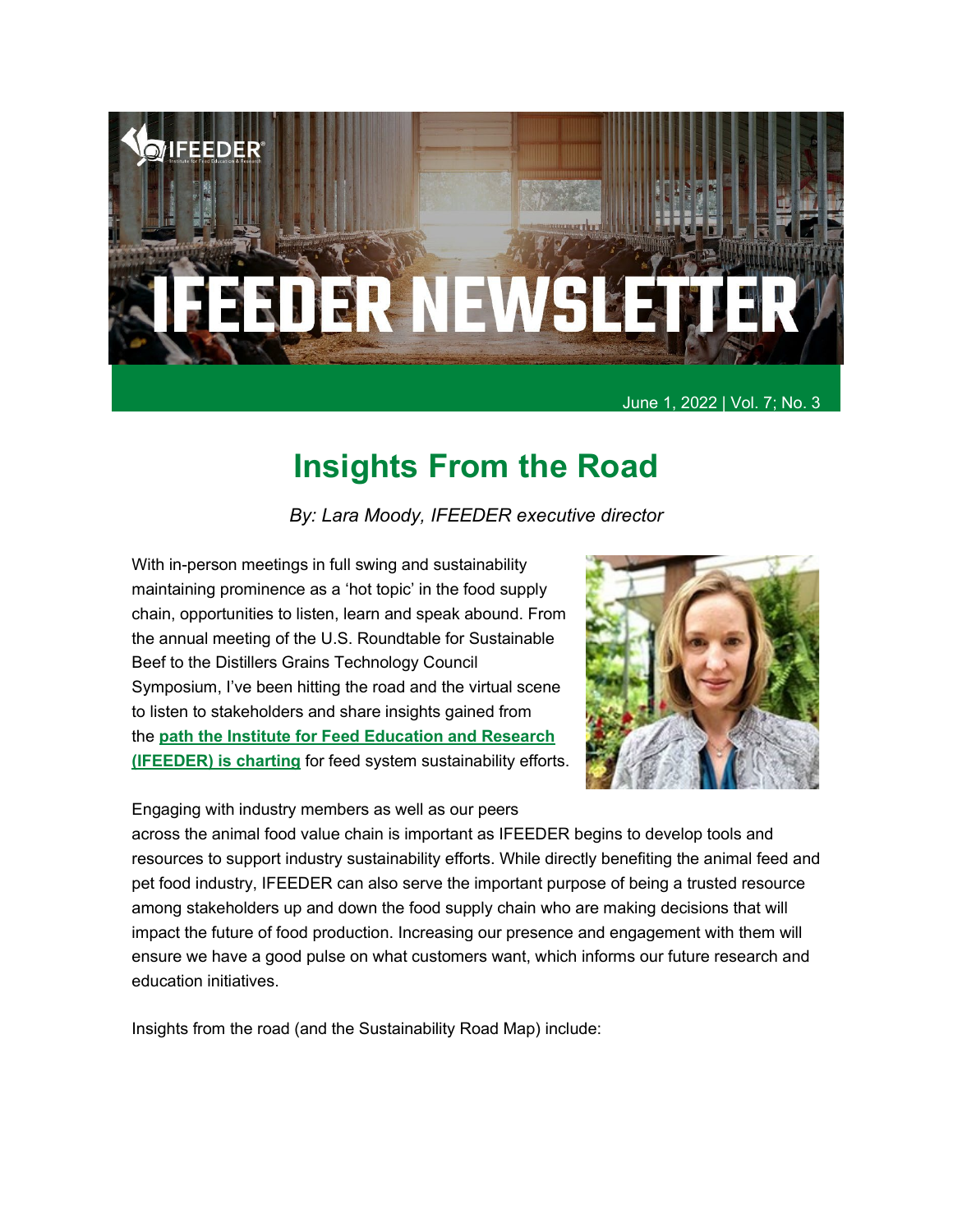

June 1, 2022 | Vol. 7; No. 3

### **Insights From the Road**

*By: Lara Moody, IFEEDER executive director*

With in-person meetings in full swing and sustainability maintaining prominence as a 'hot topic' in the food supply chain, opportunities to listen, learn and speak abound. From the annual meeting of the U.S. Roundtable for Sustainable Beef to the Distillers Grains Technology Council Symposium, I've been hitting the road and the virtual scene to listen to stakeholders and share insights gained from the **[path the Institute for Feed Education and Research](https://ifeeder.org/sustainability/)  [\(IFEEDER\) is charting](https://ifeeder.org/sustainability/)** for feed system sustainability efforts.



Engaging with industry members as well as our peers

across the animal food value chain is important as IFEEDER begins to develop tools and resources to support industry sustainability efforts. While directly benefiting the animal feed and pet food industry, IFEEDER can also serve the important purpose of being a trusted resource among stakeholders up and down the food supply chain who are making decisions that will impact the future of food production. Increasing our presence and engagement with them will ensure we have a good pulse on what customers want, which informs our future research and education initiatives.

Insights from the road (and the Sustainability Road Map) include: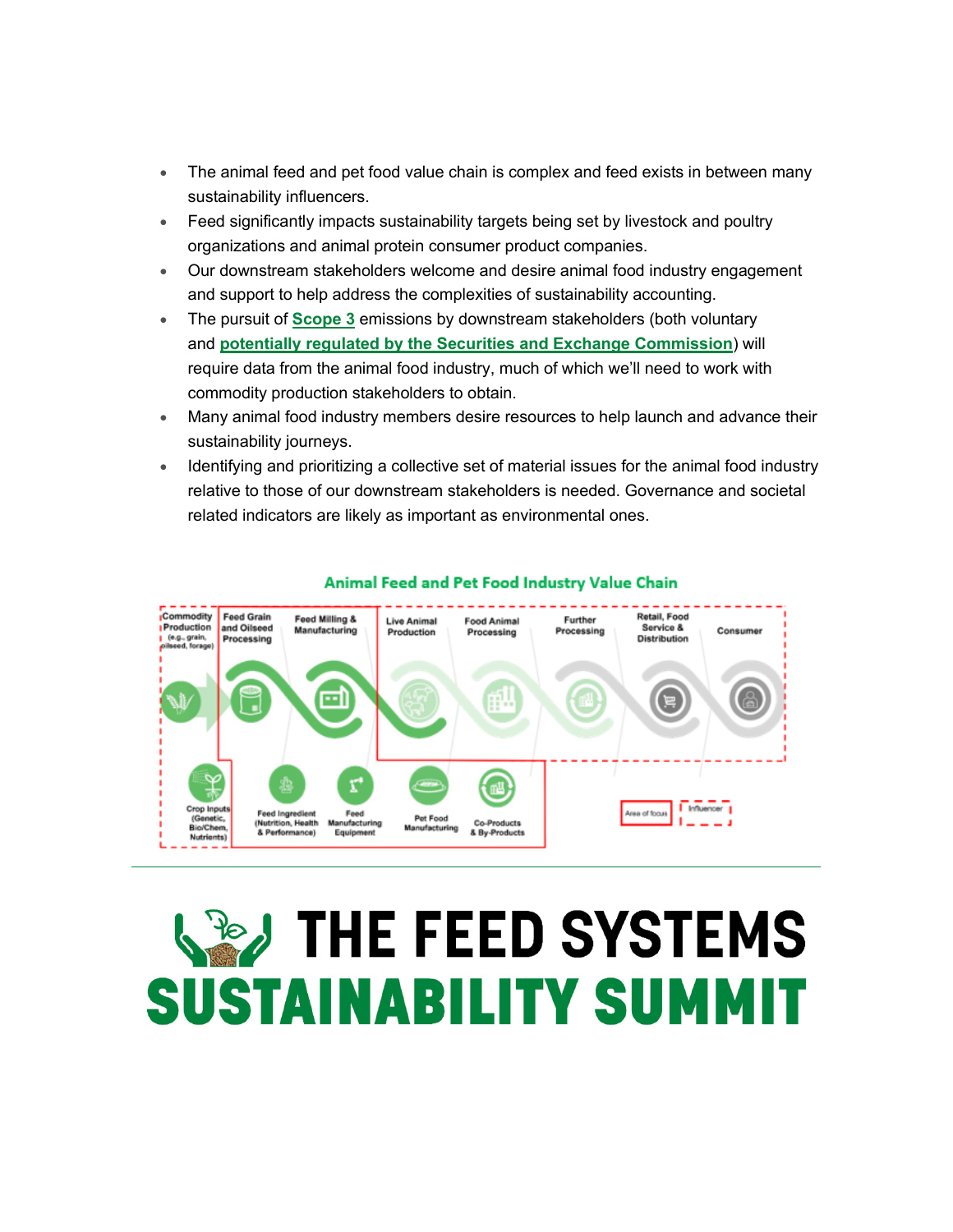- The animal feed and pet food value chain is complex and feed exists in between many sustainability influencers.
- Feed significantly impacts sustainability targets being set by livestock and poultry organizations and animal protein consumer product companies.
- Our downstream stakeholders welcome and desire animal food industry engagement and support to help address the complexities of sustainability accounting.
- The pursuit of **[Scope 3](https://www.epa.gov/climateleadership/scope-3-inventory-guidance)** emissions by downstream stakeholders (both voluntary and **[potentially regulated by the Securities and Exchange Commission](https://www.sec.gov/news/press-release/2022-46)**) will require data from the animal food industry, much of which we'll need to work with commodity production stakeholders to obtain.
- Many animal food industry members desire resources to help launch and advance their sustainability journeys.
- Identifying and prioritizing a collective set of material issues for the animal food industry relative to those of our downstream stakeholders is needed. Governance and societal related indicators are likely as important as environmental ones.



#### Animal Feed and Pet Food Industry Value Chain

# **WEARTHE FEED SYSTEMS SUSTAINABILITY SUMMIT**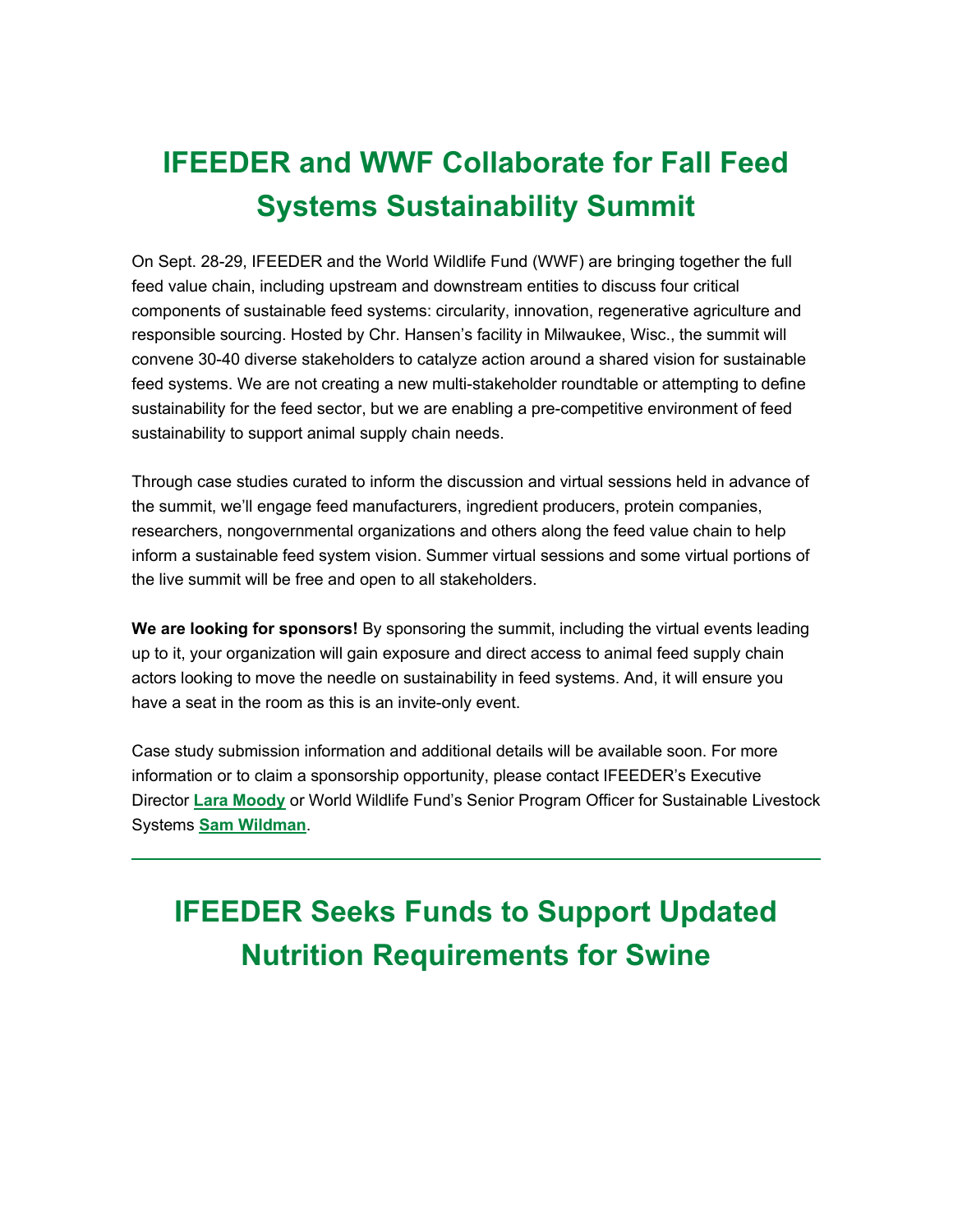## **IFEEDER and WWF Collaborate for Fall Feed Systems Sustainability Summit**

On Sept. 28-29, IFEEDER and the World Wildlife Fund (WWF) are bringing together the full feed value chain, including upstream and downstream entities to discuss four critical components of sustainable feed systems: circularity, innovation, regenerative agriculture and responsible sourcing. Hosted by Chr. Hansen's facility in Milwaukee, Wisc., the summit will convene 30-40 diverse stakeholders to catalyze action around a shared vision for sustainable feed systems. We are not creating a new multi-stakeholder roundtable or attempting to define sustainability for the feed sector, but we are enabling a pre-competitive environment of feed sustainability to support animal supply chain needs.

Through case studies curated to inform the discussion and virtual sessions held in advance of the summit, we'll engage feed manufacturers, ingredient producers, protein companies, researchers, nongovernmental organizations and others along the feed value chain to help inform a sustainable feed system vision. Summer virtual sessions and some virtual portions of the live summit will be free and open to all stakeholders.

**We are looking for sponsors!** By sponsoring the summit, including the virtual events leading up to it, your organization will gain exposure and direct access to animal feed supply chain actors looking to move the needle on sustainability in feed systems. And, it will ensure you have a seat in the room as this is an invite-only event.

Case study submission information and additional details will be available soon. For more information or to claim a sponsorship opportunity, please contact IFEEDER's Executive Director **[Lara Moody](mailto:lmoody@afia.org)** or World Wildlife Fund's Senior Program Officer for Sustainable Livestock Systems **[Sam Wildman](mailto:sam.Wildman@wwfus.org)**.

## **IFEEDER Seeks Funds to Support Updated Nutrition Requirements for Swine**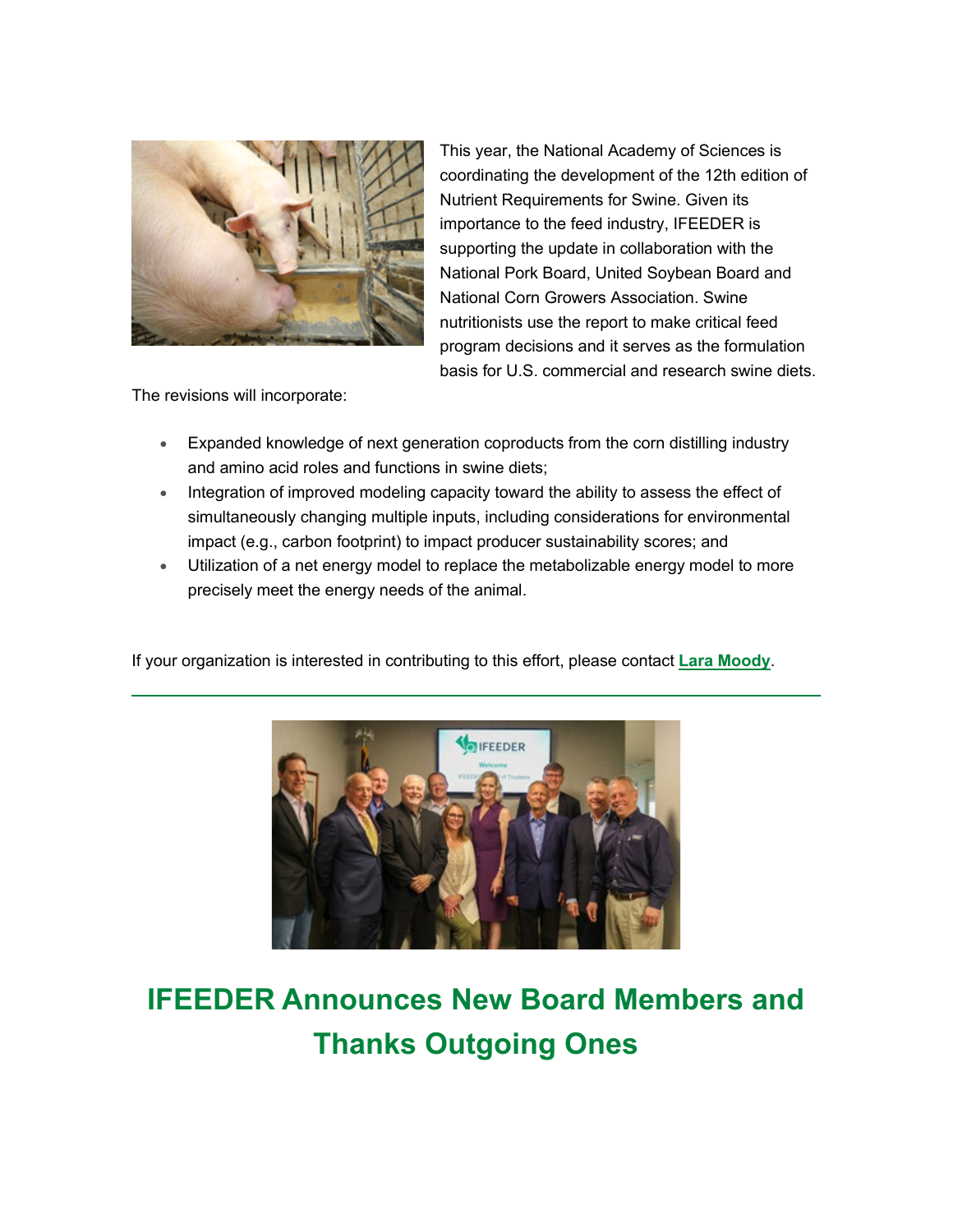

This year, the National Academy of Sciences is coordinating the development of the 12th edition of Nutrient Requirements for Swine. Given its importance to the feed industry, IFEEDER is supporting the update in collaboration with the National Pork Board, United Soybean Board and National Corn Growers Association. Swine nutritionists use the report to make critical feed program decisions and it serves as the formulation basis for U.S. commercial and research swine diets.

The revisions will incorporate:

- Expanded knowledge of next generation coproducts from the corn distilling industry and amino acid roles and functions in swine diets;
- Integration of improved modeling capacity toward the ability to assess the effect of simultaneously changing multiple inputs, including considerations for environmental impact (e.g., carbon footprint) to impact producer sustainability scores; and
- Utilization of a net energy model to replace the metabolizable energy model to more precisely meet the energy needs of the animal.

If your organization is interested in contributing to this effort, please contact **[Lara Moody](mailto:lmoody@afia.org)**.



### **IFEEDER Announces New Board Members and Thanks Outgoing Ones**